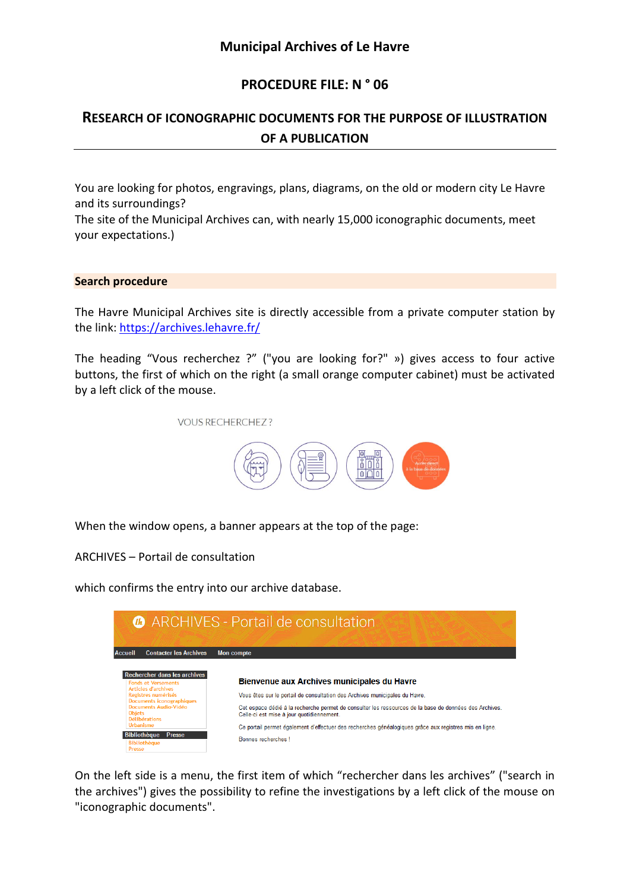## **PROCEDURE FILE: N ° 06**

# **RESEARCH OF ICONOGRAPHIC DOCUMENTS FOR THE PURPOSE OF ILLUSTRATION OF A PUBLICATION**

You are looking for photos, engravings, plans, diagrams, on the old or modern city Le Havre and its surroundings?

The site of the Municipal Archives can, with nearly 15,000 iconographic documents, meet your expectations.)

#### **Search procedure**

The Havre Municipal Archives site is directly accessible from a private computer station by the link:<https://archives.lehavre.fr/>

The heading "Vous recherchez ?" ("you are looking for?" ») gives access to four active buttons, the first of which on the right (a small orange computer cabinet) must be activated by a left click of the mouse.



When the window opens, a banner appears at the top of the page:

ARCHIVES – Portail de consultation

which confirms the entry into our archive database.



On the left side is a menu, the first item of which "rechercher dans les archives" ("search in the archives") gives the possibility to refine the investigations by a left click of the mouse on "iconographic documents".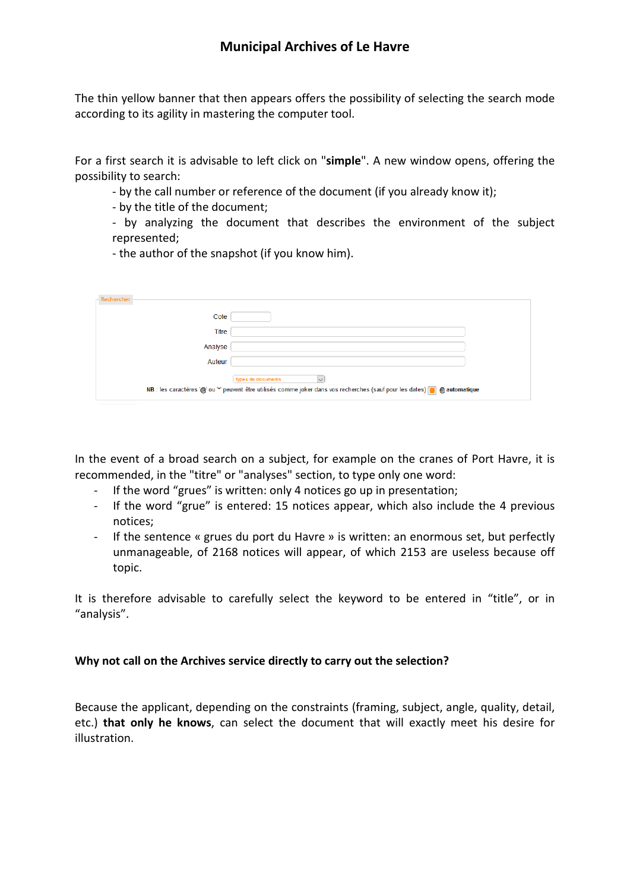The thin yellow banner that then appears offers the possibility of selecting the search mode according to its agility in mastering the computer tool.

For a first search it is advisable to left click on "**simple**". A new window opens, offering the possibility to search:

- by the call number or reference of the document (if you already know it);

- by the title of the document;

- by analyzing the document that describes the environment of the subject represented;

- the author of the snapshot (if you know him).

| - Rechercher                                                                                                               |                                                      |
|----------------------------------------------------------------------------------------------------------------------------|------------------------------------------------------|
| Cote                                                                                                                       |                                                      |
| Titre                                                                                                                      |                                                      |
| Analyse                                                                                                                    |                                                      |
| Auteur                                                                                                                     |                                                      |
|                                                                                                                            | $\overline{\mathsf{v}}$<br><b>Types de documents</b> |
| NB : les caractères '@' ou '*' peuvent être utilisés comme joker dans vos recherches (sauf pour les dates) @ @ automatique |                                                      |

In the event of a broad search on a subject, for example on the cranes of Port Havre, it is recommended, in the "titre" or "analyses" section, to type only one word:

- If the word "grues" is written: only 4 notices go up in presentation;
- If the word "grue" is entered: 15 notices appear, which also include the 4 previous notices;
- If the sentence « grues du port du Havre » is written: an enormous set, but perfectly unmanageable, of 2168 notices will appear, of which 2153 are useless because off topic.

It is therefore advisable to carefully select the keyword to be entered in "title", or in "analysis".

#### **Why not call on the Archives service directly to carry out the selection?**

Because the applicant, depending on the constraints (framing, subject, angle, quality, detail, etc.) **that only he knows**, can select the document that will exactly meet his desire for illustration.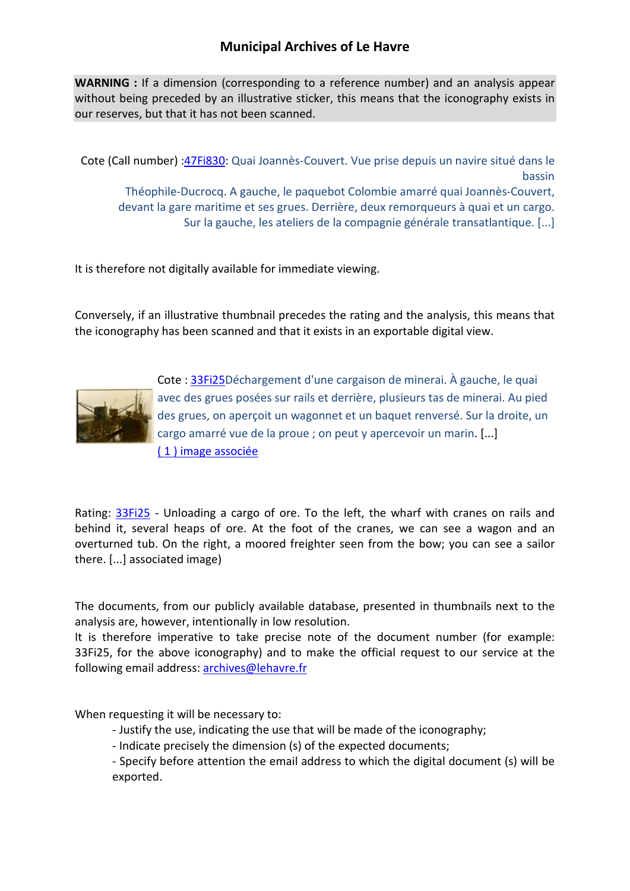### **Municipal Archives of Le Havre**

**WARNING :** If a dimension (corresponding to a reference number) and an analysis appear without being preceded by an illustrative sticker, this means that the iconography exists in our reserves, but that it has not been scanned.

Cote (Call number) [:47Fi830:](http://avenio.lehavre.fr/4DCGI/Web_VoirLaNotice/34_01/47Fi830/ILUMP15546) Quai Joannès-Couvert. Vue prise depuis un navire situé dans le bassin Théophile-Ducrocq. A gauche, le paquebot Colombie amarré quai Joannès-Couvert, devant la gare maritime et ses grues. Derrière, deux remorqueurs à quai et un cargo. Sur la gauche, les ateliers de la compagnie générale transatlantique. [...]

It is therefore not digitally available for immediate viewing.

Conversely, if an illustrative thumbnail precedes the rating and the analysis, this means that the iconography has been scanned and that it exists in an exportable digital view.



Cote : [33Fi25D](http://avenio.lehavre.fr/4DCGI/Web_VoirLaNotice/34_01/33Fi25/ILUMP15546)échargement d'une cargaison de minerai. À gauche, le quai avec des grues posées sur rails et derrière, plusieurs tas de minerai. Au pied des grues, on aperçoit un wagonnet et un baquet renversé. Sur la droite, un cargo amarré vue de la proue ; on peut y apercevoir un marin. [...] [\( 1 \) image associée](http://avenio.lehavre.fr/4DCGI/Web_DFPict/034/33Fi25/ILUMP15546)

Rating: [33Fi25](http://avenio.lehavre.fr/4DCGI/Web_VoirLaNotice/34_01/33Fi25/ILUMP15546) - Unloading a cargo of ore. To the left, the wharf with cranes on rails and behind it, several heaps of ore. At the foot of the cranes, we can see a wagon and an overturned tub. On the right, a moored freighter seen from the bow; you can see a sailor there. [...] associated image)

The documents, from our publicly available database, presented in thumbnails next to the analysis are, however, intentionally in low resolution.

It is therefore imperative to take precise note of the document number (for example: 33Fi25, for the above iconography) and to make the official request to our service at the following email address: [archives@lehavre.fr](mailto:archives@lehavre.fr)

When requesting it will be necessary to:

- Justify the use, indicating the use that will be made of the iconography;
- Indicate precisely the dimension (s) of the expected documents;

- Specify before attention the email address to which the digital document (s) will be exported.